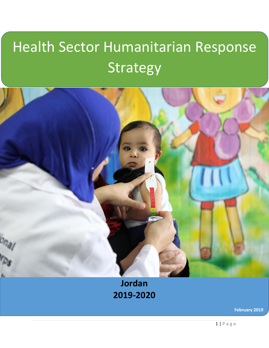# Health Sector Humanitarian Response **Strategy**



## **Jordan 2019-2020**

**February 2019**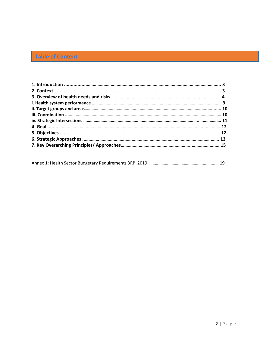## **Table of Content**

Annex 1: Health Sector Budgetary Requirements 3RP 2019 ………………………………………….….…….… **19**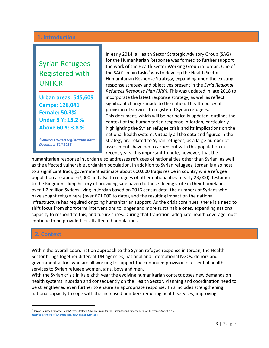#### **1. Introduction**

## Syrian Refugees Registered with UNHCR

**Urban areas: 545,609 Camps: 126,041 Female: 50.3% Under 5 Y: 15.2 % Above 60 Y: 3.8 %**

**ـــــــــــــــــــــــــــــــــــــــــــــــــــــــ**

*\*Source: UNHCR registration data December 31st 2016*

In early 2014, a Health Sector Strategic Advisory Group (SAG) for the Humanitarian Response was formed to further support the work of the Health Sector Working Group in Jordan. One of the SAG's main tasks<sup>1</sup> was to develop the Health Sector Humanitarian Response Strategy, expanding upon the existing response strategy and objectives present in the *Syria Regional Refugees Response Plan (3RP)*. This was updated in late 2018 to incorporate the latest response strategy, as well as reflect significant changes made to the national health policy of provision of services to registered Syrian refugees. This document, which will be periodically updated, outlines the context of the humanitarian response in Jordan, particularly highlighting the Syrian refugee crisis and its implications on the national health system. Virtually all the data and figures in the strategy are related to Syrian refugees, as a large number of assessments have been carried out with this population in recent years. It is important to note, however, that the

humanitarian response in Jordan also addresses refugees of nationalities other than Syrian, as well as the affected vulnerable Jordanian population. In addition to Syrian refugees, Jordan is also host to a significant Iraqi, government estimate about 600,000 Iraqis reside in country while refugee population are about 67,000 and also to refugees of other nationalities (nearly 23,000), testament to the Kingdom's long history of providing safe haven to those fleeing strife in their homeland. over 1.2 million Syrians living in Jordan based on 2016 census data, the numbers of Syrians who have sought refuge here (over 671,000 to date), and the resulting impact on the national infrastructure has required ongoing humanitarian support. As the crisis continues, there is a need to shift focus from short-term interventions to longer and more sustainable ones, expanding national capacity to respond to this, and future crises. During that transition, adequate health coverage must continue to be provided for all affected populations.

#### **2. Context**

 $\overline{a}$ 

Within the overall coordination approach to the Syrian refugee response in Jordan, the Health Sector brings together different UN agencies, national and international NGOs, donors and government actors who are all working to support the continued provision of essential health services to Syrian refugee women, girls, boys and men.

With the Syrian crisis in its eighth year the evolving humanitarian context poses new demands on health systems in Jordan and consequently on the Health Sector. Planning and coordination need to be strengthened even further to ensure an appropriate response. This includes strengthening national capacity to cope with the increased numbers requiring health services; improving

<sup>1</sup> Jordan Refugee Response. Health Sector Strategic Advisory Group for the Humanitarian Response Terms of Reference August 2016. <http://data.unhcr.org/syrianrefugees/download.php?id=6354>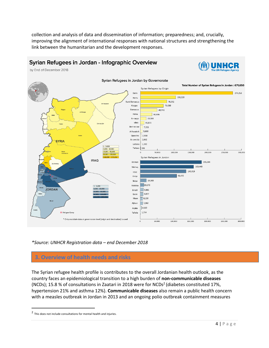collection and analysis of data and dissemination of information; preparedness; and, crucially, improving the alignment of international responses with national structures and strengthening the link between the humanitarian and the development responses.



*\*Source: UNHCR Registration data – end December 2018*

#### **3. Overview of health needs and risks**

The Syrian refugee health profile is contributes to the overall Jordanian health outlook, as the country faces an epidemiological transition to a high burden of **non-communicable diseases**  (NCDs); 15.8 % of consultations in Zaatari in 2018 were for NCDs<sup>2</sup> (diabetes constituted 17%, hypertension 21% and asthma 12%). **Communicable diseases** also remain a public health concern with a measles outbreak in Jordan in 2013 and an ongoing polio outbreak containment measures

 $\overline{\phantom{a}}$ 

<sup>&</sup>lt;sup>2</sup> This does not include consultations for mental health and injuries.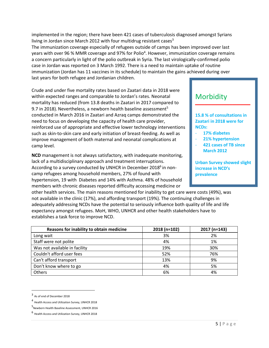implemented in the region; there have been 421 cases of tuberculosis diagnosed amongst Syrians living in Jordan since March 2012 with four multidrug resistant cases $3$ 

The immunization coverage especially of refugees outside of camps has been improved over last years with over 96 % MMR coverage and 97% for Polio<sup>4</sup>. However, immunization coverage remains a concern particularly in light of the polio outbreak in Syria. The last virologically-confirmed polio case in Jordan was reported on 3 March 1992. There is a need to maintain uptake of routine immunization (Jordan has 11 vaccines in its schedule) to maintain the gains achieved during over last years for both refugee and Jordanian children.

Crude and under five mortality rates based on Zaatari data in 2018 were within expected ranges and comparable to Jordan's rates. Neonatal mortality has reduced (from 13.8 deaths in Zaatari in 2017 compared to 9.7 in 2018). Nevertheless, a newborn health baseline assessment<sup>5</sup> conducted in March 2016 in Zaatari and Azraq camps demonstrated the need to focus on developing the capacity of health care provider, reinforced use of appropriate and effective lower technology interventions such as skin-to-skin care and early initiation of breast-feeding. As well as improve management of both maternal and neonatal complications at camp level.

**NCD** management is not always satisfactory, with inadequate monitoring, lack of a multidisciplinary approach and treatment interruptions. According to a survey conducted by UNHCR in December 2018<sup>6</sup> in noncamp refugees among household members, 27% of found with hypertension, 19 with Diabetes and 14% with Asthma. 48% of household members with chronic diseases reported difficulty accessing medicine or

other health services. The main reasons mentioned for inability to get care were costs (49%), was not available in the clinic (17%), and affording transport (19%). The continuing challenges in adequately addressing NCDs have the potential to seriously influence both quality of life and life expectancy amongst refugees. MoH, WHO, UNHCR and other health stakeholders have to establishes a task force to improve NCD.

| Reasons for inability to obtain medicine | 2018 (n=102) | 2017 (n=143) |
|------------------------------------------|--------------|--------------|
| Long wait                                | 3%           | 2%           |
| Staff were not polite                    | 4%           | 1%           |
| Was not available in facility            | 19%          | 30%          |
| Couldn't afford user fees                | 52%          | 76%          |
| Can't afford transport                   | 13%          | 9%           |
| Don't know where to go                   | 4%           | 5%           |
| Others                                   | 6%           | 4%           |

l

### **Morbidity**

**15.8 % of consultations in Zaatari in 2018 were for NCDs:** 

**ـــــــــــــــــــــــــــــــــــــــــــــــــــــــ**

- **17% diabetes**
- **21% hypertension**
- **421 cases of TB since March 2012**

**Urban Survey showed slight increase in NCD's prevalence**

<sup>3</sup> As of end of December 2018

<sup>4</sup> Health Access and Utilization Survey, UNHCR 2018

<sup>5</sup> Newborn Health Baseline Assessment, UNHCR 2016

<sup>6</sup> Health Access and Utilization Survey, UNHCR 2018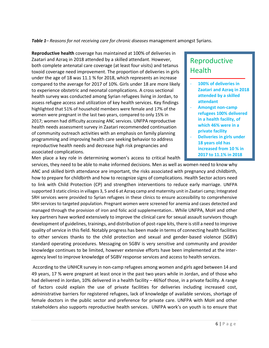*Table 1– Reasons for not receiving care for chronic diseases* management amongst Syrians.

**Reproductive health** coverage has maintained at 100% of deliveries in Zaatari and Azraq in 2018 attended by a skilled attendant. However, both complete antenatal care coverage (at least four visits) and tetanus toxoid coverage need improvement. The proportion of deliveries in girls under the age of 18 was 11.1 % for 2018, which represents an increase compared to the average for 2017 of 10%. Girls under 18 are more likely to experience obstetric and neonatal complications. A cross sectional health survey was conducted among Syrian refugees living in Jordan, to assess refugee access and utilization of key health services. Key findings highlighted that 51% of household members were female and 17% of the women were pregnant in the last two years, compared to only 15% in 2017; women had difficulty accessing ANC services. UNFPA reproductive health needs assessment survey in Zaatari recommended continuation of community outreach activities with an emphasis on family planning programming and improving health care seeking behavior to address reproductive health needs and decrease high risk pregnancies and associated complications.

## Reproductive **Health**

100% of deliveries in **Zaatari and Azraq in 2018 attended by a skilled attendant**

**ـــــــــــــــــــــــــــــــــــــــــــــــــــــــ**

- **Amongst non-camp refugees 100% delivered in a health facility, of which 46% were in a private facility**
- **Deliveries in girls under 18 years old has increased from 10 % in 2017 to 11.1% in 2018**

Men place a key role in determining women's access to critical health

services, they need to be able to make informed decisions. Men as well as women need to know why ANC and skilled birth attendance are important, the risks associated with pregnancy and childbirth, how to prepare for childbirth and how to recognize signs of complications. Health Sector actors need to link with Child Protection (CP) and strengthen interventions to reduce early marriage. UNFPA supported 3 static clinics in villages 3, 5 and 6 at Azraq camp and maternity unit in Zaatari camp; Integrated SRH services were provided to Syrian refugees in these clinics to ensure accessibility to comprehensive SRH services to targeted population. Pregnant women were screened for anemia and cases detected and managed through the provision of iron and folic acid supplementation.. While UNFPA, MoH and other key partners have worked extensively to improve the clinical care for sexual assault survivors though development of guidelines, trainings, and distribution of post-rape kits, there is still a need to improve quality of service in this field. Notably progress has been made in terms of connecting health facilities to other services thanks to the child protection and sexual and gender-based violence (SGBV) standard operating procedures. Messaging on SGBV is very sensitive and community and provider knowledge continues to be limited, however extensive efforts have been implemented at the interagency level to improve knowledge of SGBV response services and access to health services.

According to the UNHCR survey in non-camp refugees among women and girls aged between 14 and 49 years, 17 % were pregnant at least once in the past two years while in Jordan, and of those who had delivered in Jordan, 10% delivered in a health facility - 46% of those, in a private facility. A range of factors could explain the use of private facilities for deliveries including increased cost, administrative barriers for registered refugees, lack of knowledge of available services, shortage of female doctors in the public sector and preference for private care. UNFPA with MoH and other stakeholders also supports reproductive health services. UNFPA work's on youth is to ensure that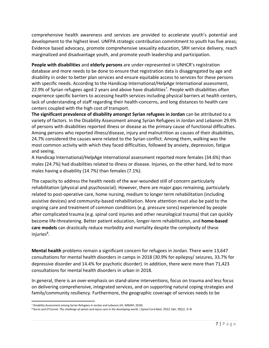comprehensive health awareness and services are provided to accelerate youth's potential and development to the highest level. UNFPA strategic contribution commitment to youth has five areas; Evidence based advocacy, promote comprehensive sexuality education, SRH service delivery, reach marginalized and disadvantage youth, and promote youth leadership and participation.

**People with disabilities** and **elderly persons** are under-represented in UNHCR's registration database and more needs to be done to ensure that registration data is disaggregated by age and disability in order to better plan services and ensure equitable access to services for these persons with specific needs. According to the Handicap International/HelpAge International assessment, 22.9% of Syrian refugees aged 2 years and above have disabilities<sup>7</sup>. People with disabilities often experience specific barriers to accessing health services including physical barriers at health centers, lack of understanding of staff regarding their health-concerns, and long distances to health care centers coupled with the high cost of transport.

**The significant prevalence of disability amongst Syrian refugees in Jordan** can be attributed to a variety of factors. In the Disability Assessment among Syrian Refugees in Jordan and Lebanon 29.9% of persons with disabilities reported illness or disease as the primary cause of functional difficulties. Among persons who reported illness/disease, injury and malnutrition as causes of their disabilities, 24.7% considered the causes were related to the Syrian conflict. Among them, walking was the most common activity with which they faced difficulties, followed by anxiety, depression, fatigue and seeing.

A Handicap International/HelpAge International assessment reported more females (34.6%) than males (24.7%) had disabilities related to illness or disease. Injuries, on the other hand, led to more males having a disability (14.7%) than females (7.1%).

The capacity to address the health needs of the war-wounded still of concern particularly rehabilitation (physical and psychosocial). However, there are major gaps remaining, particularly related to post-operative care, home nursing, medium to longer term rehabilitation (including assistive devices) and community-based rehabilitation. More attention must also be paid to the ongoing care and treatment of common conditions (e.g. pressure sores) experienced by people after complicated trauma (e.g. spinal cord injuries and other neurological trauma) that can quickly become life-threatening. Better patient education, longer-term rehabilitation, and **home-based care models** can drastically reduce morbidity and mortality despite the complexity of these injuries<sup>8</sup>.

**Mental health** problems remain a significant concern for refugees in Jordan. There were 13,647 consultations for mental health disorders in camps in 2018 (30.9% for epilepsy/ seizures, 33.7% for depressive disorder and 14.4% for psychotic disorder). In addition, there were more than 71,423 consultations for mental health disorders in urban in 2018.

In general, there is an over-emphasis on stand-alone interventions, focus on trauma and less focus on delivering comprehensive, integrated services, and on supporting natural coping strategies and family/community resiliency. Furthermore, the geographic coverage of services needs to be

 $\overline{a}$ 

<sup>7</sup> Disability Assessment among Syrian Refugees in Jordan and Lebanon (HI, IMMAP, 2018)

<sup>8</sup> Burns and O'Connel. *The challenge of spinal cord injury care in the developing world*. J Spinal Cord Med*.* 2012 Jan; 35(1): 3–8.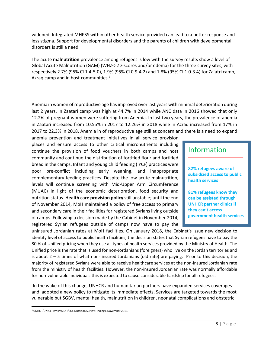widened. Integrated MHPSS within other health service provided can lead to a better response and less stigma. Support for developmental disorders and the parents of children with developmental disorders is still a need.

The acute **malnutrition** prevalence among refugees is low with the survey results show a level of Global Acute Malnutrition (GAM) (WHZ<-2 z-scores and/or edema) for the three survey sites, with respectively 2.7% (95% CI 1.4-5.0), 1.9% (95% CI 0.9-4.2) and 1.8% (95% CI 1.0-3.4) for Za'atri camp, Azraq camp and in host communities.<sup>9</sup>

Anemia in women of reproductive age has improved over last years with minimal deterioration during last 2 years, in Zaatari camp was high at 44.7% in 2014 while ANC data in 2016 showed that only 12.2% of pregnant women were suffering from Anemia. In last two years, the prevalence of anemia in Zaatari increased from 10.55% in 2017 to 12.26% in 2018 while in Azraq increased from 17% in 2017 to 22.3% in 2018. Anemia in of reproductive age still at concern and there is a need to expand

anemia prevention and treatment initiatives in all service provision places and ensure access to other critical micronutrients including continue the provision of food vouchers in both camps and host community and continue the distribution of fortified flour and fortified bread in the camps. Infant and young child feeding (IYCF) practices were poor pre-conflict including early weaning, and inappropriate complementary feeding practices. Despite the low acute malnutrition, levels will continue screening with Mid-Upper Arm Circumference (MUAC) in light of the economic deterioration, food security and nutrition status. **Health care provision policy** still unstable; until the end of November 2014, MoH maintained a policy of free access to primary and secondary care in their facilities for registered Syrians living outside of camps. Following a decision made by the Cabinet in November 2014, registered Syrian refugees outside of camps now have to pay the

| <b>Information</b> |  |
|--------------------|--|

**82% refugees aware of subsidized access to public health services**

**ـــــــــــــــــــــــــــــــــــــــــــــــــــــــ**

**81% refugees know they can be assisted through UNHCR partner clinics if they can't access government health services** 

uninsured Jordanian rates at MoH facilities. On January 2018, the Cabinet's issue new decision to identify level of access to public health facilities; the decision states that Syrian refugees have to pay the 80 % of Unified pricing when they use all types of health services provided by the Ministry of Health. The Unified price is the rate that is used for non-Jordanians (foreigners) who live on the Jordan territories and is about 2 – 5 times of what non- insured Jordanians (old rate) are paying. Prior to this decision, the majority of registered Syrians were able to receive healthcare services at the non-insured Jordanian rate from the ministry of health facilities. However, the non-insured Jordanian rate was normally affordable for non-vulnerable individuals this is expected to cause considerable hardship for all refugees.

In the wake of this change, UNHCR and humanitarian partners have expanded services coverages and adopted a new policy to mitigate its immediate effects. Services are targeted towards the most vulnerable but SGBV, mental health, malnutrition in children, neonatal complications and obstetric

 $\overline{\phantom{a}}$ 

<sup>9</sup> UNHCR/UNICEF/WFP/MOH/SCJ. Nutrition Survey Findings. November 2016.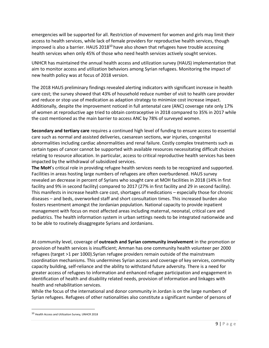emergencies will be supported for all. Restriction of movement for women and girls may limit their access to health services, while lack of female providers for reproductive health services, though improved is also a barrier. HAUS 2018<sup>10</sup> have also shown that refugees have trouble accessing health services when only 45% of those who need health services actively sought services.

UNHCR has maintained the annual health access and utilization survey (HAUS) implementation that aim to monitor access and utilization behaviors among Syrian refugees. Monitoring the impact of new health policy was at focus of 2018 version.

The 2018 HAUS preliminary findings revealed alerting indicators with significant increase in health care cost; the survey showed that 43% of household reduce number of visit to health care provider and reduce or stop use of medication as adaption strategy to minimize cost increase impact. Additionally, despite the improvement noticed in full antenatal care (ANC) coverage rate only 17% of women at reproductive age tried to obtain contraceptive in 2018 compared to 35% in 2017 while the cost mentioned as the main barrier to access ANC by 78% of surveyed women.

**Secondary and tertiary care** requires a continued high level of funding to ensure access to essential care such as normal and assisted deliveries, caesarean sections, war injuries, congenital abnormalities including cardiac abnormalities and renal failure. Costly complex treatments such as certain types of cancer cannot be supported with available resources necessitating difficult choices relating to resource allocation. In particular, access to critical reproductive health services has been impacted by the withdrawal of subsidized services.

**The MoH**'s critical role in providing refugee health services needs to be recognized and supported. Facilities in areas hosting large numbers of refugees are often overburdened. HAUS survey revealed an decrease in percent of Syrians who sought care at MOH facilities in 2018 (14% in first facility and 9% in second facility) compared to 2017 (27% in first facility and 29 in second facility). This manifests in increase health care cost, shortages of medications – especially those for chronic diseases – and beds, overworked staff and short consultation times. This increased burden also fosters resentment amongst the Jordanian population. National capacity to provide inpatient management with focus on most affected areas including maternal, neonatal, critical care and pediatrics. The health information system in urban settings needs to be integrated nationwide and to be able to routinely disaggregate Syrians and Jordanians.

At community level, coverage of **outreach and Syrian community involvement** in the promotion or provision of health services is insufficient; Amman has one community health volunteer per 2000 refugees (target >1 per 1000).Syrian refugee providers remain outside of the mainstream coordination mechanisms. This undermines Syrian access and coverage of key services, community capacity building, self-reliance and the ability to withstand future adversity. There is a need for greater access of refugees to information and enhanced refugee participation and engagement in identification of health and disability related needs, provision of information and linkages with health and rehabilitation services.

While the focus of the international and donor community in Jordan is on the large numbers of Syrian refugees. Refugees of other nationalities also constitute a significant number of persons of

 $\overline{a}$ 

<sup>10</sup> Health Access and Utilization Survey, UNHCR 2018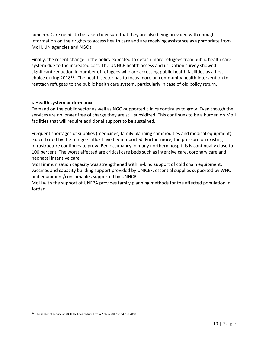concern. Care needs to be taken to ensure that they are also being provided with enough information on their rights to access health care and are receiving assistance as appropriate from MoH, UN agencies and NGOs.

Finally, the recent change in the policy expected to detach more refugees from public health care system due to the increased cost. The UNHCR health access and utilization survey showed significant reduction in number of refugees who are accessing public health facilities as a first choice during  $2018^{11}$ . The health sector has to focus more on community health intervention to reattach refugees to the public health care system, particularly in case of old policy return.

#### **i. Health system performance**

Demand on the public sector as well as NGO-supported clinics continues to grow. Even though the services are no longer free of charge they are still subsidized. This continues to be a burden on MoH facilities that will require additional support to be sustained.

Frequent shortages of supplies (medicines, family planning commodities and medical equipment) exacerbated by the refugee influx have been reported. Furthermore, the pressure on existing infrastructure continues to grow. Bed occupancy in many northern hospitals is continually close to 100 percent. The worst affected are critical care beds such as intensive care, coronary care and neonatal intensive care.

MoH immunization capacity was strengthened with in-kind support of cold chain equipment, vaccines and capacity building support provided by UNICEF, essential supplies supported by WHO and equipment/consumables supported by UNHCR.

MoH with the support of UNFPA provides family planning methods for the affected population in Jordan.

 $\overline{\phantom{a}}$ 

<sup>11</sup> The seeker of service at MOH facilities reduced from 27% in 2017 to 14% in 2018.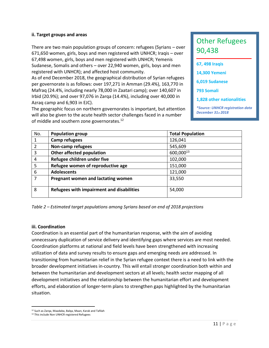#### **ii. Target groups and areas**

There are two main population groups of concern: refugees (Syrians – over 671,650 women, girls, boys and men registered with UNHCR; Iraqis – over 67,498 women, girls, boys and men registered with UNHCR; Yemenis Sudanese, Somalis and others – over 22,940 women, girls, boys and men registered with UNHCR); and affected host community.

As of end December 2018, the geographical distribution of Syrian refugees per governorate is as follows: over 197,271 in Amman (29.4%), 163,770 in Mafraq (24.4%, including nearly 78,000 in Zaatari camp); over 140,607 in Irbid (20.9%); and over 97,076 in Zarqa (14.4%), including over 40,000 in Azraq camp and 6,903 in EJC).

The geographic focus on northern governorates is important, but attention will also be given to the acute health sector challenges faced in a number of middle and southern zone governorates.<sup>12</sup>

## Other Refugees 90,438

| 67, 498 Iraqis                                                |
|---------------------------------------------------------------|
| <b>14,300 Yemeni</b>                                          |
| 6,019 Sudanese                                                |
| 793 Somali                                                    |
| <b>1.828 other nationalities</b>                              |
| <i>*Source: UNHCR registration data</i><br>December 31st 2018 |

| No.            | <b>Population group</b>                   | <b>Total Population</b> |  |
|----------------|-------------------------------------------|-------------------------|--|
|                | Camp refugees                             | 126,041                 |  |
| $\overline{2}$ | Non-camp refugees                         | 545,609                 |  |
| 3              | Other affected population                 | 600,00013               |  |
| 4              | Refugee children under five               | 102,000                 |  |
| 5              | Refugee women of reproductive age         | 151,000                 |  |
| 6              | <b>Adolescents</b>                        | 121,000                 |  |
| 7              | Pregnant women and lactating women        | 33,550                  |  |
| 8              | Refugees with impairment and disabilities | 54,000                  |  |

*Table 2 – Estimated target populations among Syrians based on end of 2018 projections*

#### **iii. Coordination**

Coordination is an essential part of the humanitarian response, with the aim of avoiding unnecessary duplication of service delivery and identifying gaps where services are most needed. Coordination platforms at national and field levels have been strengthened with increasing utilization of data and survey results to ensure gaps and emerging needs are addressed. In transitioning from humanitarian relief in the Syrian refugee context there is a need to link with the broader development initiatives in-country. This will entail stronger coordination both within and between the humanitarian and development sectors at all levels; health sector mapping of all development initiatives and the relationship between the humanitarian effort and development efforts, and elaboration of longer-term plans to strengthen gaps highlighted by the humanitarian situation.

 $\overline{\phantom{a}}$ <sup>12</sup> Such as Zarqa, Maadaba, Balqa, Maan, Karak and Tafilah

<sup>13</sup> This include Non UNHCR registered Refugees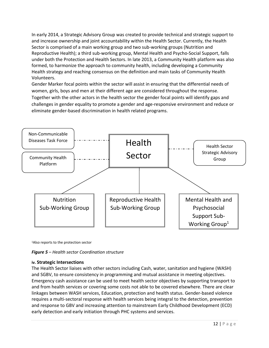In early 2014, a Strategic Advisory Group was created to provide technical and strategic support to and increase ownership and joint accountability within the Health Sector. Currently, the Health Sector is comprised of a main working group and two sub-working groups (Nutrition and Reproductive Health); a third sub-working group, Mental Health and Psycho-Social Support, falls under both the Protection and Health Sectors. In late 2013, a Community Health platform was also formed, to harmonize the approach to community health, including developing a Community Health strategy and reaching consensus on the definition and main tasks of Community Health Volunteers.

Gender Marker focal points within the sector will assist in ensuring that the differential needs of women, girls, boys and men at their different age are considered throughout the response. Together with the other actors in the health sector the gender focal points will identify gaps and challenges in gender equality to promote a gender and age-responsive environment and reduce or eliminate gender-based discrimination in health related programs.



<sup>1</sup>Also reports to the protection sector



#### **iv. Strategic Intersections**

The Health Sector liaises with other sectors including Cash, water, sanitation and hygiene (WASH) and SGBV, to ensure consistency in programming and mutual assistance in meeting objectives. Emergency cash assistance can be used to meet health sector objectives by supporting transport to and from health services or covering some costs not able to be covered elsewhere. There are clear linkages between WASH services, Education, protection and health status. Gender-based violence requires a multi-sectoral response with health services being integral to the detection, prevention and response to GBV and increasing attention to mainstream Early Childhood Development (ECD) early detection and early initiation through PHC systems and services.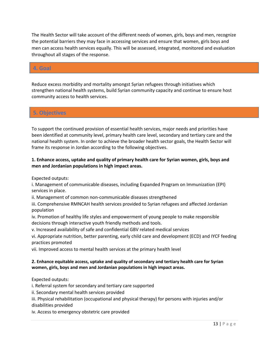The Health Sector will take account of the different needs of women, girls, boys and men, recognize the potential barriers they may face in accessing services and ensure that women, girls boys and men can access health services equally. This will be assessed, integrated, monitored and evaluation throughout all stages of the response.

#### **4. Goal**

Reduce excess morbidity and mortality amongst Syrian refugees through initiatives which strengthen national health systems, build Syrian community capacity and continue to ensure host community access to health services.

#### **5. Objectives**

To support the continued provision of essential health services, major needs and priorities have been identified at community level, primary health care level, secondary and tertiary care and the national health system. In order to achieve the broader health sector goals, the Health Sector will frame its response in Jordan according to the following objectives.

#### **1. Enhance access, uptake and quality of primary health care for Syrian women, girls, boys and men and Jordanian populations in high impact areas.**

Expected outputs:

i. Management of communicable diseases, including Expanded Program on Immunization (EPI) services in place.

ii. Management of common non-communicable diseases strengthened

iii. Comprehensive RMNCAH health services provided to Syrian refugees and affected Jordanian population

iv. Promotion of healthy life styles and empowerment of young people to make responsible decisions through interactive youth friendly methods and tools.

v. Increased availability of safe and confidential GBV related medical services

vi. Appropriate nutrition, better parenting, early child care and development (ECD) and IYCF feeding practices promoted

vii. Improved access to mental health services at the primary health level

#### **2. Enhance equitable access, uptake and quality of secondary and tertiary health care for Syrian women, girls, boys and men and Jordanian populations in high impact areas.**

Expected outputs:

i. Referral system for secondary and tertiary care supported

ii. Secondary mental health services provided

iii. Physical rehabilitation (occupational and physical therapy) for persons with injuries and/or disabilities provided

iv. Access to emergency obstetric care provided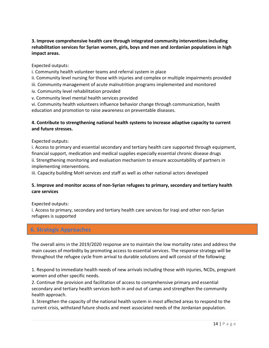#### **3. Improve comprehensive health care through integrated community interventions including rehabilitation services for Syrian women, girls, boys and men and Jordanian populations in high impact areas.**

#### Expected outputs:

- i. Community health volunteer teams and referral system in place
- ii. Community level nursing for those with injuries and complex or multiple impairments provided
- iii. Community management of acute malnutrition programs implemented and monitored
- iv. Community level rehabilitation provided
- v. Community level mental health services provided

vi. Community health volunteers influence behavior change through communication, health education and promotion to raise awareness on preventable diseases.

#### **4. Contribute to strengthening national health systems to increase adaptive capacity to current and future stresses.**

#### Expected outputs:

i. Access to primary and essential secondary and tertiary health care supported through equipment, financial support, medication and medical supplies especially essential chronic disease drugs ii. Strengthening monitoring and evaluation mechanism to ensure accountability of partners in implementing interventions.

iii. Capacity building MoH services and staff as well as other national actors developed

#### **5. Improve and monitor access of non-Syrian refugees to primary, secondary and tertiary health care services**

#### Expected outputs:

i. Access to primary, secondary and tertiary health care services for Iraqi and other non-Syrian refugees is supported

#### **6. Strategic Approaches**

The overall aims in the 2019/2020 response are to maintain the low mortality rates and address the main causes of morbidity by promoting access to essential services. The response strategy will be throughout the refugee cycle from arrival to durable solutions and will consist of the following:

1. Respond to immediate health needs of new arrivals including those with injuries, NCDs, pregnant women and other specific needs.

2. Continue the provision and facilitation of access to comprehensive primary and essential secondary and tertiary health services both in and out of camps and strengthen the community health approach.

3. Strengthen the capacity of the national health system in most affected areas to respond to the current crisis, withstand future shocks and meet associated needs of the Jordanian population.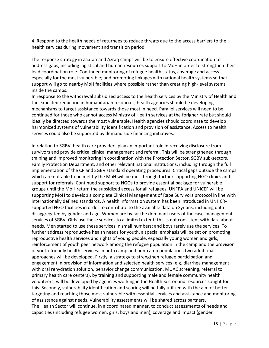4. Respond to the health needs of returnees to reduce threats due to the access barriers to the health services during movement and transition period.

The response strategy in Zaatari and Azraq camps will be to ensure effective coordination to address gaps, including logistical and human resources support to MoH in order to strengthen their lead coordination role. Continued monitoring of refugee health status, coverage and access especially for the most vulnerable; and promoting linkages with national health systems so that support will go to nearby MoH facilities where possible rather than creating high-level systems inside the camps.

In response to the withdrawal subsidized access to the health services by the Ministry of Health and the expected reduction in humanitarian resources, health agencies should be developing mechanisms to target assistance towards those most in need. Parallel services will need to be continued for those who cannot access Ministry of Health services at the forigner rate but should ideally be directed towards the most vulnerable. Health agencies should coordinate to develop harmonized systems of vulnerability identification and provision of assistance. Access to health services could also be supported by demand side financing initiatives.

In relation to SGBV, health care providers play an important role in receiving disclosure from survivors and provide critical clinical management and referral. This will be strengthened through training and improved monitoring in coordination with the Protection Sector, SGBV sub-sectors, Family Protection Department, and other relevant national institutions, including through the full implementation of the CP and SGBV standard operating procedures. Critical gaps outside the camps which are not able to be met by the MoH will be met through further supporting NGO clinics and support for referrals. Continued support to NGOs to provide essential package for vulnerable groups until the MoH return the subsidized access for all refugees. UNFPA and UNICEF will be supporting MoH to develop a complete Clinical Management of Rape Survivors protocol in line with internationally defined standards. A health information system has been introduced in UNHCRsupported NGO facilities in order to contribute to the available data on Syrians, including data disaggregated by gender and age. Women are by far the dominant users of the case-management services of SGBV. Girls use these services to a limited extent: this is not consistent with data about needs. Men started to use these services in small numbers; and boys rarely use the services. To further address reproductive health needs for youth, a special emphasis will be set on promoting reproductive health services and rights of young people, especially young women and girls, reinforcement of youth peer network among the refugee population in the camp and the provision of youth-friendly health services. In both camp and non-camp populations two additional approaches will be developed. Firstly, a strategy to strengthen refugee participation and engagement in provision of information and selected health services (e.g. diarrhea management with oral rehydration solution, behavior change communication, MUAC screening, referral to primary health care centers), by training and supporting male and female community health volunteers, will be developed by agencies working in the Health Sector and resources sought for this. Secondly, vulnerability identification and scoring will be fully utilized with the aim of better targeting and reaching those most vulnerable with essential services and assistance and monitoring of assistance against needs. Vulnerability assessments will be shared across partners, The Health Sector will continue, in a coordinated manner, to conduct assessments of needs and capacities (including refugee women, girls, boys and men), coverage and impact (gender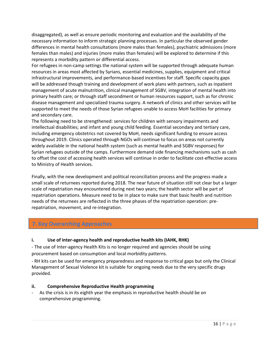disaggregated), as well as ensure periodic monitoring and evaluation and the availability of the necessary information to inform strategic planning processes. In particular the observed gender differences in mental health consultations (more males than females), psychiatric admissions (more females than males) and injuries (more males than females) will be explored to determine if this represents a morbidity pattern or differential access.

For refugees in non-camp settings the national system will be supported through adequate human resources in areas most affected by Syrians, essential medicines, supplies, equipment and critical infrastructural improvements, and performance-based incentives for staff. Specific capacity gaps will be addressed though training and development of work plans with partners, such as inpatient management of acute malnutrition, clinical management of SGBV, integration of mental health into primary health care; or through staff secondment or human resources support, such as for chronic disease management and specialized trauma surgery. A network of clinics and other services will be supported to meet the needs of those Syrian refugees unable to access MoH facilities for primary and secondary care.

The following need to be strengthened: services for children with sensory impairments and intellectual disabilities; and infant and young child feeding. Essential secondary and tertiary care, including emergency obstetrics not covered by MoH, needs significant funding to ensure access throughout 2019. Clinics operated through NGOs will continue to focus on areas not currently widely available in the national health system (such as mental health and SGBV responses) for Syrian refugees outside of the camps. Furthermore demand side financing mechanisms such as cash to offset the cost of accessing health services will continue in order to facilitate cost-effective access to Ministry of Health services.

Finally, with the new development and political reconciliation process and the progress made a small scale of returnees reported during 2018. The near future of situation still not clear but a larger scale of repatriation may encountered during next two years; the health sector will be part of repatriation operations. Measure need to be in place to make sure that basic health and nutrition needs of the returnees are reflected in the three phases of the repatriation operation: prerepatriation, movement, and re-integration.

#### **7. Key Overarching Approaches**

#### **i. Use of inter-agency health and reproductive health kits (IAHK, RHK)**

- The use of Inter-agency Health Kits is no longer required and agencies should be using procurement based on consumption and local morbidity patterns.

- RH kits can be used for emergency preparedness and response to critical gaps but only the Clinical Management of Sexual Violence kit is suitable for ongoing needs due to the very specific drugs provided.

#### **ii. Comprehensive Reproductive Health programming**

As the crisis is in its eighth year the emphasis in reproductive health should be on comprehensive programming.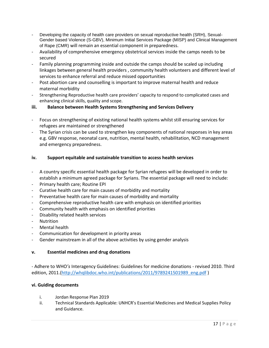- Developing the capacity of health care providers on sexual reproductive health (SRH), Sexual-Gender based Violence (S-GBV), Minimum Initial Services Package (MISP) and Clinical Management of Rape (CMR) will remain an essential component in preparedness.
- Availability of comprehensive emergency obstetrical services inside the camps needs to be secured
- Family planning programming inside and outside the camps should be scaled up including linkages between general health providers , community health volunteers and different level of services to enhance referral and reduce missed opportunities
- Post abortion care and counselling is important to improve maternal health and reduce maternal morbidity
- Strengthening Reproductive health care providers' capacity to respond to complicated cases and enhancing clinical skills, quality and scope.
- **iii. Balance between Health Systems Strengthening and Services Delivery**
- Focus on strengthening of existing national health systems whilst still ensuring services for refugees are maintained or strengthened
- The Syrian crisis can be used to strengthen key components of national responses in key areas e.g. GBV response, neonatal care, nutrition, mental health, rehabilitation, NCD management and emergency preparedness.

#### **iv. Support equitable and sustainable transition to access health services**

- A country specific essential health package for Syrian refugees will be developed in order to establish a minimum agreed package for Syrians. The essential package will need to include:
- Primary health care; Routine EPI
- Curative health care for main causes of morbidity and mortality
- Preventative health care for main causes of morbidity and mortality
- Comprehensive reproductive health care with emphasis on identified priorities
- Community health with emphasis on identified priorities
- Disability related health services
- Nutrition
- Mental health
- Communication for development in priority areas
- Gender mainstream in all of the above activities by using gender analysis

#### **v. Essential medicines and drug donations**

- Adhere to WHO*'s* Interagency Guidelines: Guidelines for medicine donations - revised 2010. Third edition, 2011.[\(http://whqlibdoc.who.int/publications/2011/9789241501989\\_eng.pdf](http://whqlibdoc.who.int/publications/2011/9789241501989_eng.pdf))

#### **vi. Guiding documents**

- i. Jordan Response Plan 2019
- ii. Technical Standards Applicable: UNHCR's Essential Medicines and Medical Supplies Policy and Guidance.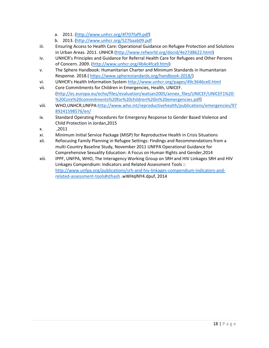- a. 2011. [\(http://www.unhcr.org/4f707faf9.pdf\)](http://www.unhcr.org/4f707faf9.pdf)
- b. 2013. [\(http://www.unhcr.org/527baab09.pdf](http://www.unhcr.org/527baab09.pdf)
- iii. Ensuring Access to Health Care: Operational Guidance on Refugee Protection and Solutions in Urban Areas. 2011. UNHCR [\(http://www.refworld.org/docid/4e27d8622.html\)](http://www.refworld.org/docid/4e27d8622.html)
- iv. UNHCR's Principles and Guidance for Referral Health Care for Refugees and Other Persons of Concern. 2009. [\(http://www.unhcr.org/4b4c4fca9.html\)](http://www.unhcr.org/4b4c4fca9.html)
- v. The Sphere Handbook: Humanitarian Charter and Minimum Standards in Humanitarian Response. 2018.( [https://www.spherestandards.org/handbook-2018/\)](https://www.spherestandards.org/handbook-2018/)
- vi. UNHCR's Health Information System <http://www.unhcr.org/pages/49c3646ce0.html>
- vii. Core Commitments for Children in Emergencies, Health, UNICEF. [\(http://ec.europa.eu/echo/files/evaluation/watsan2005/annex\\_files/UNICEF/UNICEF1%20-](http://ec.europa.eu/echo/files/evaluation/watsan2005/annex_files/UNICEF/UNICEF1%20-%20Core%20commitments%20for%20children%20in%20emergencies.pdf) [%20Core%20commitments%20for%20children%20in%20emergencies.pdf\)](http://ec.europa.eu/echo/files/evaluation/watsan2005/annex_files/UNICEF/UNICEF1%20-%20Core%20commitments%20for%20children%20in%20emergencies.pdf)
- viii. WHO,UNHCR,UNFPA[:http://www.who.int/reproductivehealth/publications/emergencies/97](http://www.who.int/reproductivehealth/publications/emergencies/9789241598576/en/) [89241598576/en/](http://www.who.int/reproductivehealth/publications/emergencies/9789241598576/en/)
- ix. Standard Operating Procedures for Emergency Response to Gender Based Violence and Child Protection in Jordan,2015
- x. ,2011
- xi. Minimum Initial Service Package (MISP) for Reproductive Health in Crisis Situations
- xii. Refocusing Family Planning in Refugee Settings: Findings and Recommendations from a multi-Country Baseline Study, November 2011 UNFPA Operational Guidance for Comprehensive Sexuality Education: A Focus on Human Rights and Gender,2014
- xiii. IPPF, UNFPA, WHO, The Interagency Working Group on SRH and HIV Linkages SRH and HIV Linkages Compendium: Indicators and Related Assessment Tools :: [http://www.unfpa.org/publications/srh-and-hiv-linkages-compendium-indicators-and](http://www.unfpa.org/publications/srh-and-hiv-linkages-compendium-indicators-and-related-assessment-tools#sthash)[related-assessment-tools#sthash](http://www.unfpa.org/publications/srh-and-hiv-linkages-compendium-indicators-and-related-assessment-tools#sthash) .wWHqlNY4.dpuf, 2014